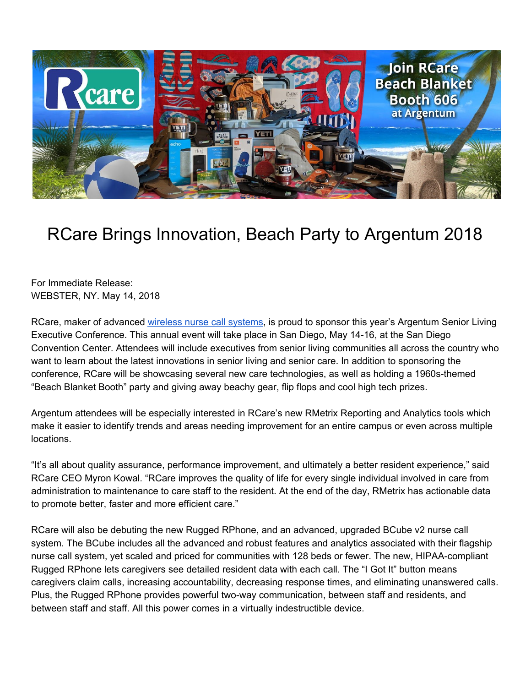

## RCare Brings Innovation, Beach Party to Argentum 2018

For Immediate Release: WEBSTER, NY. May 14, 2018

RCare, maker of advanced wireless nurse call [systems,](https://rcareinc.com/) is proud to sponsor this year's Argentum Senior Living Executive Conference. This annual event will take place in San Diego, May 14-16, at the San Diego Convention Center. Attendees will include executives from senior living communities all across the country who want to learn about the latest innovations in senior living and senior care. In addition to sponsoring the conference, RCare will be showcasing several new care technologies, as well as holding a 1960s-themed "Beach Blanket Booth" party and giving away beachy gear, flip flops and cool high tech prizes.

Argentum attendees will be especially interested in RCare's new RMetrix Reporting and Analytics tools which make it easier to identify trends and areas needing improvement for an entire campus or even across multiple locations.

"It's all about quality assurance, performance improvement, and ultimately a better resident experience," said RCare CEO Myron Kowal. "RCare improves the quality of life for every single individual involved in care from administration to maintenance to care staff to the resident. At the end of the day, RMetrix has actionable data to promote better, faster and more efficient care."

RCare will also be debuting the new Rugged RPhone, and an advanced, upgraded BCube v2 nurse call system. The BCube includes all the advanced and robust features and analytics associated with their flagship nurse call system, yet scaled and priced for communities with 128 beds or fewer. The new, HIPAA-compliant Rugged RPhone lets caregivers see detailed resident data with each call. The "I Got It" button means caregivers claim calls, increasing accountability, decreasing response times, and eliminating unanswered calls. Plus, the Rugged RPhone provides powerful two-way communication, between staff and residents, and between staff and staff. All this power comes in a virtually indestructible device.